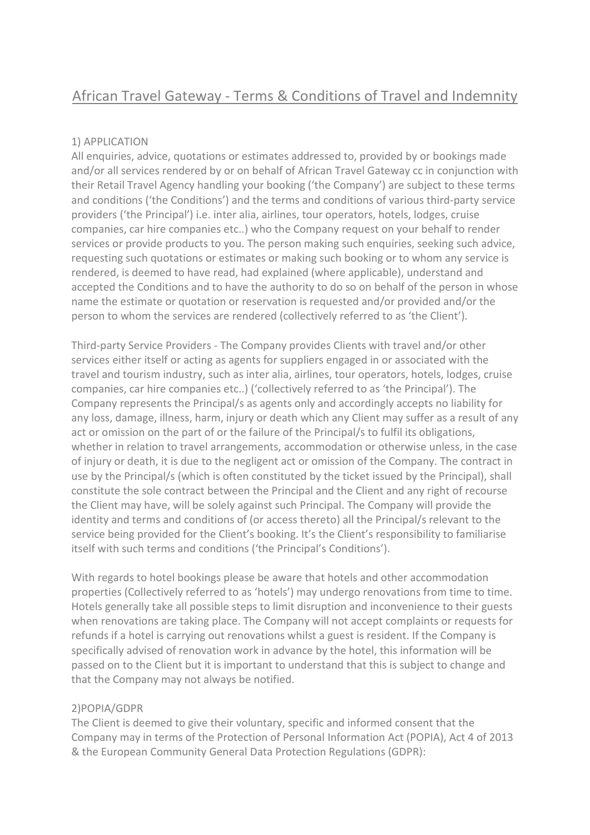# African Travel Gateway - Terms & Conditions of Travel and Indemnity

## 1) APPLICATION

All enquiries, advice, quotations or estimates addressed to, provided by or bookings made and/or all services rendered by or on behalf of African Travel Gateway cc in conjunction with their Retail Travel Agency handling your booking ('the Company') are subject to these terms and conditions ('the Conditions') and the terms and conditions of various third-party service providers ('the Principal') i.e. inter alia, airlines, tour operators, hotels, lodges, cruise companies, car hire companies etc..) who the Company request on your behalf to render services or provide products to you. The person making such enquiries, seeking such advice, requesting such quotations or estimates or making such booking or to whom any service is rendered, is deemed to have read, had explained (where applicable), understand and accepted the Conditions and to have the authority to do so on behalf of the person in whose name the estimate or quotation or reservation is requested and/or provided and/or the person to whom the services are rendered (collectively referred to as 'the Client').

Third-party Service Providers - The Company provides Clients with travel and/or other services either itself or acting as agents for suppliers engaged in or associated with the travel and tourism industry, such as inter alia, airlines, tour operators, hotels, lodges, cruise companies, car hire companies etc..) ('collectively referred to as 'the Principal'). The Company represents the Principal/s as agents only and accordingly accepts no liability for any loss, damage, illness, harm, injury or death which any Client may suffer as a result of any act or omission on the part of or the failure of the Principal/s to fulfil its obligations, whether in relation to travel arrangements, accommodation or otherwise unless, in the case of injury or death, it is due to the negligent act or omission of the Company. The contract in use by the Principal/s (which is often constituted by the ticket issued by the Principal), shall constitute the sole contract between the Principal and the Client and any right of recourse the Client may have, will be solely against such Principal. The Company will provide the identity and terms and conditions of (or access thereto) all the Principal/s relevant to the service being provided for the Client's booking. It's the Client's responsibility to familiarise itself with such terms and conditions ('the Principal's Conditions').

With regards to hotel bookings please be aware that hotels and other accommodation properties (Collectively referred to as 'hotels') may undergo renovations from time to time. Hotels generally take all possible steps to limit disruption and inconvenience to their guests when renovations are taking place. The Company will not accept complaints or requests for refunds if a hotel is carrying out renovations whilst a guest is resident. If the Company is specifically advised of renovation work in advance by the hotel, this information will be passed on to the Client but it is important to understand that this is subject to change and that the Company may not always be notified.

## 2)POPIA/GDPR

The Client is deemed to give their voluntary, specific and informed consent that the Company may in terms of the Protection of Personal Information Act (POPIA), Act 4 of 2013 & the European Community General Data Protection Regulations (GDPR):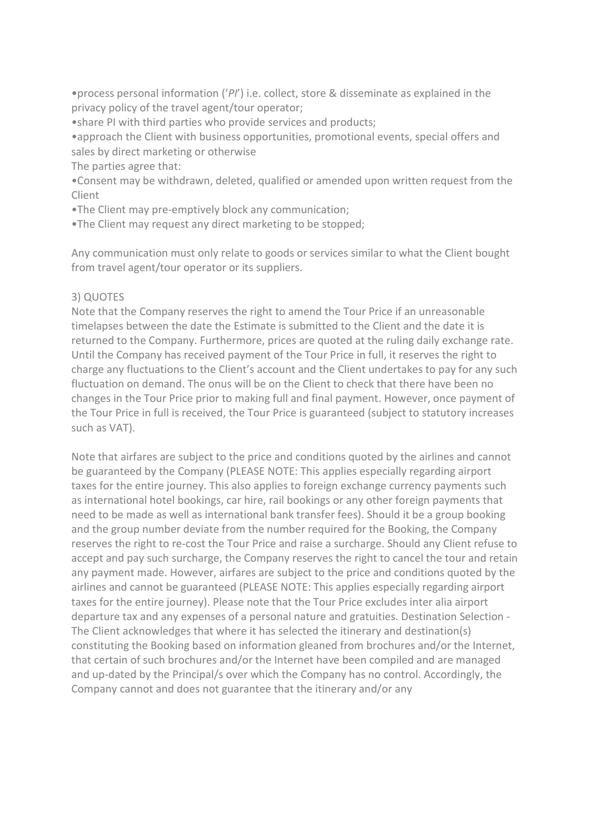•process personal information ('*PI*') i.e. collect, store & disseminate as explained in the privacy policy of the travel agent/tour operator;

•share PI with third parties who provide services and products;

•approach the Client with business opportunities, promotional events, special offers and sales by direct marketing or otherwise

The parties agree that:

•Consent may be withdrawn, deleted, qualified or amended upon written request from the Client

•The Client may pre-emptively block any communication;

•The Client may request any direct marketing to be stopped;

Any communication must only relate to goods or services similar to what the Client bought from travel agent/tour operator or its suppliers.

## 3) QUOTES

Note that the Company reserves the right to amend the Tour Price if an unreasonable timelapses between the date the Estimate is submitted to the Client and the date it is returned to the Company. Furthermore, prices are quoted at the ruling daily exchange rate. Until the Company has received payment of the Tour Price in full, it reserves the right to charge any fluctuations to the Client's account and the Client undertakes to pay for any such fluctuation on demand. The onus will be on the Client to check that there have been no changes in the Tour Price prior to making full and final payment. However, once payment of the Tour Price in full is received, the Tour Price is guaranteed (subject to statutory increases such as VAT).

Note that airfares are subject to the price and conditions quoted by the airlines and cannot be guaranteed by the Company (PLEASE NOTE: This applies especially regarding airport taxes for the entire journey. This also applies to foreign exchange currency payments such as international hotel bookings, car hire, rail bookings or any other foreign payments that need to be made as well as international bank transfer fees). Should it be a group booking and the group number deviate from the number required for the Booking, the Company reserves the right to re-cost the Tour Price and raise a surcharge. Should any Client refuse to accept and pay such surcharge, the Company reserves the right to cancel the tour and retain any payment made. However, airfares are subject to the price and conditions quoted by the airlines and cannot be guaranteed (PLEASE NOTE: This applies especially regarding airport taxes for the entire journey). Please note that the Tour Price excludes inter alia airport departure tax and any expenses of a personal nature and gratuities. Destination Selection - The Client acknowledges that where it has selected the itinerary and destination(s) constituting the Booking based on information gleaned from brochures and/or the Internet, that certain of such brochures and/or the Internet have been compiled and are managed and up-dated by the Principal/s over which the Company has no control. Accordingly, the Company cannot and does not guarantee that the itinerary and/or any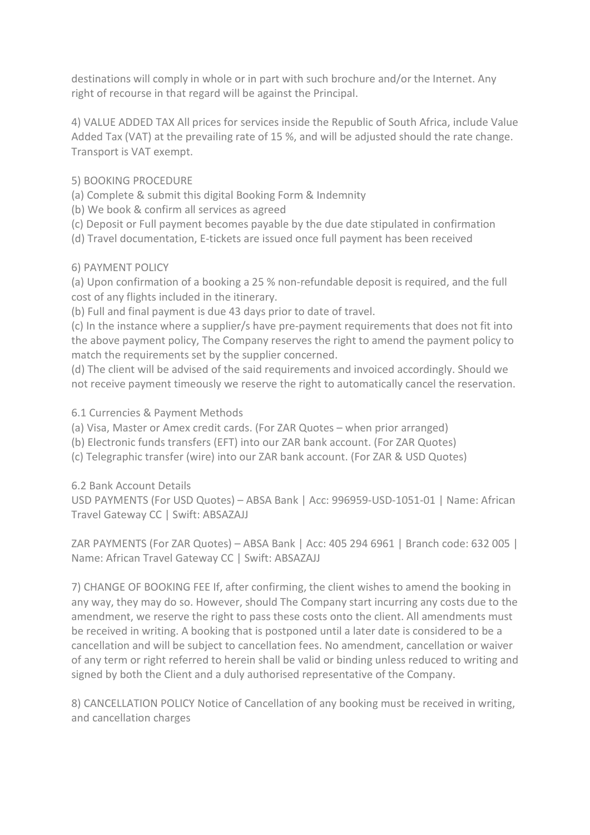destinations will comply in whole or in part with such brochure and/or the Internet. Any right of recourse in that regard will be against the Principal.

4) VALUE ADDED TAX All prices for services inside the Republic of South Africa, include Value Added Tax (VAT) at the prevailing rate of 15 %, and will be adjusted should the rate change. Transport is VAT exempt.

# 5) BOOKING PROCEDURE

(a) Complete & submit this digital Booking Form & Indemnity

(b) We book & confirm all services as agreed

- (c) Deposit or Full payment becomes payable by the due date stipulated in confirmation
- (d) Travel documentation, E-tickets are issued once full payment has been received

# 6) PAYMENT POLICY

(a) Upon confirmation of a booking a 25 % non-refundable deposit is required, and the full cost of any flights included in the itinerary.

(b) Full and final payment is due 43 days prior to date of travel.

(c) In the instance where a supplier/s have pre-payment requirements that does not fit into the above payment policy, The Company reserves the right to amend the payment policy to match the requirements set by the supplier concerned.

(d) The client will be advised of the said requirements and invoiced accordingly. Should we not receive payment timeously we reserve the right to automatically cancel the reservation.

# 6.1 Currencies & Payment Methods

- (a) Visa, Master or Amex credit cards. (For ZAR Quotes when prior arranged)
- (b) Electronic funds transfers (EFT) into our ZAR bank account. (For ZAR Quotes)
- (c) Telegraphic transfer (wire) into our ZAR bank account. (For ZAR & USD Quotes)

6.2 Bank Account Details

USD PAYMENTS (For USD Quotes) – ABSA Bank | Acc: 996959-USD-1051-01 | Name: African Travel Gateway CC | Swift: ABSAZAJJ

ZAR PAYMENTS (For ZAR Quotes) – ABSA Bank | Acc: 405 294 6961 | Branch code: 632 005 | Name: African Travel Gateway CC | Swift: ABSAZAJJ

7) CHANGE OF BOOKING FEE If, after confirming, the client wishes to amend the booking in any way, they may do so. However, should The Company start incurring any costs due to the amendment, we reserve the right to pass these costs onto the client. All amendments must be received in writing. A booking that is postponed until a later date is considered to be a cancellation and will be subject to cancellation fees. No amendment, cancellation or waiver of any term or right referred to herein shall be valid or binding unless reduced to writing and signed by both the Client and a duly authorised representative of the Company.

8) CANCELLATION POLICY Notice of Cancellation of any booking must be received in writing, and cancellation charges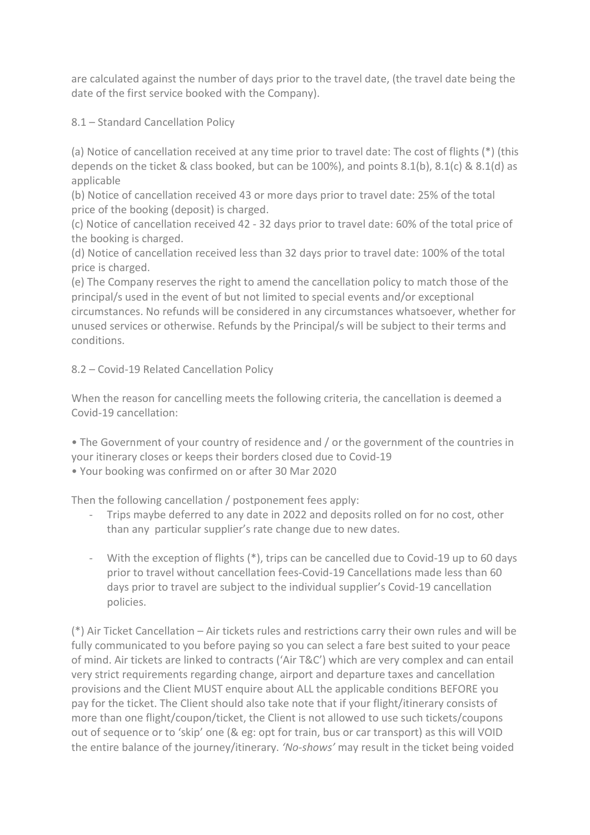are calculated against the number of days prior to the travel date, (the travel date being the date of the first service booked with the Company).

8.1 – Standard Cancellation Policy

(a) Notice of cancellation received at any time prior to travel date: The cost of flights (\*) (this depends on the ticket & class booked, but can be 100%), and points 8.1(b), 8.1(c) & 8.1(d) as applicable

(b) Notice of cancellation received 43 or more days prior to travel date: 25% of the total price of the booking (deposit) is charged.

(c) Notice of cancellation received 42 - 32 days prior to travel date: 60% of the total price of the booking is charged.

(d) Notice of cancellation received less than 32 days prior to travel date: 100% of the total price is charged.

(e) The Company reserves the right to amend the cancellation policy to match those of the principal/s used in the event of but not limited to special events and/or exceptional circumstances. No refunds will be considered in any circumstances whatsoever, whether for unused services or otherwise. Refunds by the Principal/s will be subject to their terms and conditions.

8.2 – Covid-19 Related Cancellation Policy

When the reason for cancelling meets the following criteria, the cancellation is deemed a Covid-19 cancellation:

• The Government of your country of residence and / or the government of the countries in your itinerary closes or keeps their borders closed due to Covid-19 • Your booking was confirmed on or after 30 Mar 2020

Then the following cancellation / postponement fees apply:

- Trips maybe deferred to any date in 2022 and deposits rolled on for no cost, other than any particular supplier's rate change due to new dates.
- With the exception of flights (\*), trips can be cancelled due to Covid-19 up to 60 days prior to travel without cancellation fees-Covid-19 Cancellations made less than 60 days prior to travel are subject to the individual supplier's Covid-19 cancellation policies.

(\*) Air Ticket Cancellation – Air tickets rules and restrictions carry their own rules and will be fully communicated to you before paying so you can select a fare best suited to your peace of mind. Air tickets are linked to contracts ('Air T&C') which are very complex and can entail very strict requirements regarding change, airport and departure taxes and cancellation provisions and the Client MUST enquire about ALL the applicable conditions BEFORE you pay for the ticket. The Client should also take note that if your flight/itinerary consists of more than one flight/coupon/ticket, the Client is not allowed to use such tickets/coupons out of sequence or to 'skip' one (& eg: opt for train, bus or car transport) as this will VOID the entire balance of the journey/itinerary. *'No-shows'* may result in the ticket being voided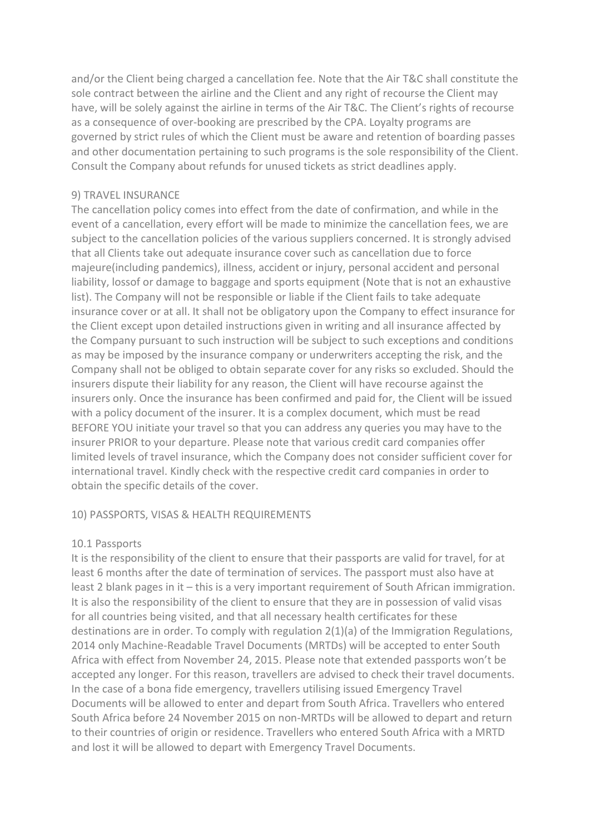and/or the Client being charged a cancellation fee. Note that the Air T&C shall constitute the sole contract between the airline and the Client and any right of recourse the Client may have, will be solely against the airline in terms of the Air T&C. The Client's rights of recourse as a consequence of over-booking are prescribed by the CPA. Loyalty programs are governed by strict rules of which the Client must be aware and retention of boarding passes and other documentation pertaining to such programs is the sole responsibility of the Client. Consult the Company about refunds for unused tickets as strict deadlines apply.

#### 9) TRAVEL INSURANCE

The cancellation policy comes into effect from the date of confirmation, and while in the event of a cancellation, every effort will be made to minimize the cancellation fees, we are subject to the cancellation policies of the various suppliers concerned. It is strongly advised that all Clients take out adequate insurance cover such as cancellation due to force majeure(including pandemics), illness, accident or injury, personal accident and personal liability, lossof or damage to baggage and sports equipment (Note that is not an exhaustive list). The Company will not be responsible or liable if the Client fails to take adequate insurance cover or at all. It shall not be obligatory upon the Company to effect insurance for the Client except upon detailed instructions given in writing and all insurance affected by the Company pursuant to such instruction will be subject to such exceptions and conditions as may be imposed by the insurance company or underwriters accepting the risk, and the Company shall not be obliged to obtain separate cover for any risks so excluded. Should the insurers dispute their liability for any reason, the Client will have recourse against the insurers only. Once the insurance has been confirmed and paid for, the Client will be issued with a policy document of the insurer. It is a complex document, which must be read BEFORE YOU initiate your travel so that you can address any queries you may have to the insurer PRIOR to your departure. Please note that various credit card companies offer limited levels of travel insurance, which the Company does not consider sufficient cover for international travel. Kindly check with the respective credit card companies in order to obtain the specific details of the cover.

#### 10) PASSPORTS, VISAS & HEALTH REQUIREMENTS

#### 10.1 Passports

It is the responsibility of the client to ensure that their passports are valid for travel, for at least 6 months after the date of termination of services. The passport must also have at least 2 blank pages in it – this is a very important requirement of South African immigration. It is also the responsibility of the client to ensure that they are in possession of valid visas for all countries being visited, and that all necessary health certificates for these destinations are in order. To comply with regulation 2(1)(a) of the Immigration Regulations, 2014 only Machine-Readable Travel Documents (MRTDs) will be accepted to enter South Africa with effect from November 24, 2015. Please note that extended passports won't be accepted any longer. For this reason, travellers are advised to check their travel documents. In the case of a bona fide emergency, travellers utilising issued Emergency Travel Documents will be allowed to enter and depart from South Africa. Travellers who entered South Africa before 24 November 2015 on non-MRTDs will be allowed to depart and return to their countries of origin or residence. Travellers who entered South Africa with a MRTD and lost it will be allowed to depart with Emergency Travel Documents.